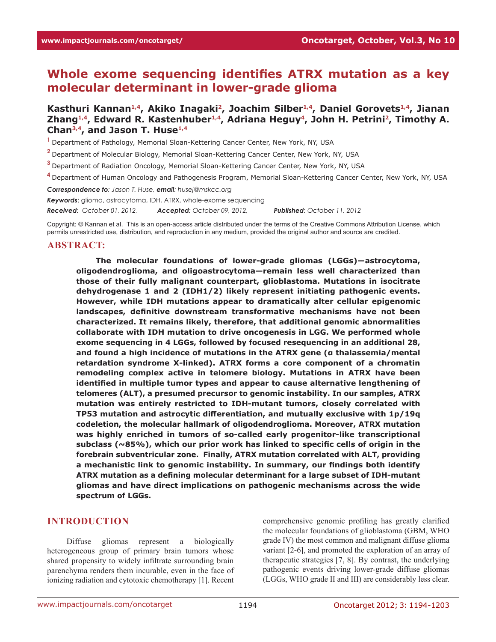# **Whole exome sequencing identifies ATRX mutation as a key molecular determinant in lower-grade glioma**

# **Kasthuri Kannan1,4, Akiko Inagaki2, Joachim Silber1,4, Daniel Gorovets1,4, Jianan Zhang1,4, Edward R. Kastenhuber1,4, Adriana Heguy<sup>4</sup>, John H. Petrini<sup>2</sup>, Timothy A. Chan3,4, and Jason T. Huse1,4**

**<sup>1</sup>**Department of Pathology, Memorial Sloan-Kettering Cancer Center, New York, NY, USA

**<sup>2</sup>**Department of Molecular Biology, Memorial Sloan-Kettering Cancer Center, New York, NY, USA

**<sup>3</sup>**Department of Radiation Oncology, Memorial Sloan-Kettering Cancer Center, New York, NY, USA

**<sup>4</sup>**Department of Human Oncology and Pathogenesis Program, Memorial Sloan-Kettering Cancer Center, New York, NY, USA

*Correspondence to: Jason T. Huse, email: husej@mskcc.org*

*Keywords*: glioma, astrocytoma, IDH, ATRX, whole-exome sequencing

*Received: October 01, 2012, Accepted: October 09, 2012, Published: October 11, 2012*

Copyright: © Kannan et al. This is an open-access article distributed under the terms of the Creative Commons Attribution License, which permits unrestricted use, distribution, and reproduction in any medium, provided the original author and source are credited.

#### **ABSTRACT:**

**The molecular foundations of lower-grade gliomas (LGGs)—astrocytoma, oligodendroglioma, and oligoastrocytoma—remain less well characterized than those of their fully malignant counterpart, glioblastoma. Mutations in isocitrate dehydrogenase 1 and 2 (IDH1/2) likely represent initiating pathogenic events. However, while IDH mutations appear to dramatically alter cellular epigenomic landscapes, definitive downstream transformative mechanisms have not been characterized. It remains likely, therefore, that additional genomic abnormalities collaborate with IDH mutation to drive oncogenesis in LGG. We performed whole exome sequencing in 4 LGGs, followed by focused resequencing in an additional 28, and found a high incidence of mutations in the ATRX gene (α thalassemia/mental retardation syndrome X-linked). ATRX forms a core component of a chromatin remodeling complex active in telomere biology. Mutations in ATRX have been identified in multiple tumor types and appear to cause alternative lengthening of telomeres (ALT), a presumed precursor to genomic instability. In our samples, ATRX mutation was entirely restricted to IDH-mutant tumors, closely correlated with TP53 mutation and astrocytic differentiation, and mutually exclusive with 1p/19q codeletion, the molecular hallmark of oligodendroglioma. Moreover, ATRX mutation was highly enriched in tumors of so-called early progenitor-like transcriptional subclass (~85%), which our prior work has linked to specific cells of origin in the forebrain subventricular zone. Finally, ATRX mutation correlated with ALT, providing a mechanistic link to genomic instability. In summary, our findings both identify ATRX mutation as a defining molecular determinant for a large subset of IDH-mutant gliomas and have direct implications on pathogenic mechanisms across the wide spectrum of LGGs.**

#### **INTRODUCTION**

Diffuse gliomas represent a biologically heterogeneous group of primary brain tumors whose shared propensity to widely infiltrate surrounding brain parenchyma renders them incurable, even in the face of ionizing radiation and cytotoxic chemotherapy [1]. Recent

comprehensive genomic profiling has greatly clarified the molecular foundations of glioblastoma (GBM, WHO grade IV) the most common and malignant diffuse glioma variant [2-6], and promoted the exploration of an array of therapeutic strategies [7, 8]. By contrast, the underlying pathogenic events driving lower-grade diffuse gliomas (LGGs, WHO grade II and III) are considerably less clear.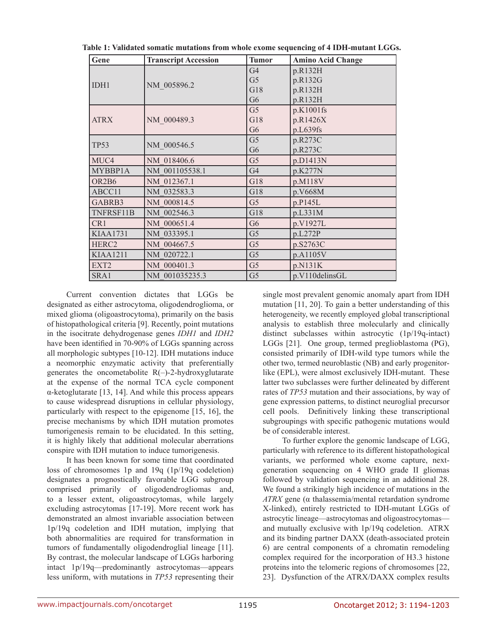| Table 1: Validated somatic mutations from whole exome sequencing of 4 IDH-mutant LGGs. |  |
|----------------------------------------------------------------------------------------|--|
|----------------------------------------------------------------------------------------|--|

| Gene                           | <b>Transcript Accession</b> | <b>Tumor</b>   | <b>Amino Acid Change</b> |  |  |
|--------------------------------|-----------------------------|----------------|--------------------------|--|--|
| IDH1                           |                             | G <sub>4</sub> | p.R132H                  |  |  |
|                                | NM 005896.2                 | G <sub>5</sub> | p.R132G                  |  |  |
|                                |                             | G18            | p.R132H                  |  |  |
|                                |                             | G <sub>6</sub> | p.R132H                  |  |  |
|                                |                             | G <sub>5</sub> | p.K1001fs                |  |  |
| <b>ATRX</b>                    | NM 000489.3                 | G18            | p.R1426X                 |  |  |
|                                |                             | G <sub>6</sub> | p.L639fs                 |  |  |
| <b>TP53</b>                    | NM 000546.5                 | G <sub>5</sub> | p.R273C                  |  |  |
|                                |                             | G <sub>6</sub> | p.R273C                  |  |  |
| MUC4                           | NM 018406.6                 | G <sub>5</sub> | p.D1413N                 |  |  |
| MYBBP1A                        | NM 001105538.1              | G <sub>4</sub> | p.K277N                  |  |  |
| OR <sub>2</sub> B <sub>6</sub> | NM 012367.1                 | G18            | p.M118V                  |  |  |
| ABCC11                         | NM 032583.3                 | G18            | p.V668M                  |  |  |
| GABRB3                         | NM 000814.5                 | G <sub>5</sub> | p.P145L                  |  |  |
| TNFRSF11B                      | NM 002546.3                 | G18            | p.L331M                  |  |  |
| CR <sub>1</sub>                | NM 000651.4                 | G <sub>6</sub> | p.V1927L                 |  |  |
| <b>KIAA1731</b>                | NM 033395.1                 | G <sub>5</sub> | p.L272P                  |  |  |
| HERC <sub>2</sub>              | NM 004667.5                 | G <sub>5</sub> | p.S2763C                 |  |  |
| <b>KIAA1211</b>                | NM 020722.1                 | G <sub>5</sub> | p.A1105V                 |  |  |
| EXT2                           | NM 000401.3                 | G <sub>5</sub> | p.N131K                  |  |  |
| SRA1                           | NM 001035235.3              | G <sub>5</sub> | p.V110delinsGL           |  |  |

Current convention dictates that LGGs be designated as either astrocytoma, oligodendroglioma, or mixed glioma (oligoastrocytoma), primarily on the basis of histopathological criteria [9]. Recently, point mutations in the isocitrate dehydrogenase genes *IDH1* and *IDH2* have been identified in 70-90% of LGGs spanning across all morphologic subtypes [10-12]. IDH mutations induce a neomorphic enzymatic activity that preferentially generates the oncometabolite  $R(-)$ -2-hydroxyglutarate at the expense of the normal TCA cycle component α-ketoglutarate [13, 14]. And while this process appears to cause widespread disruptions in cellular physiology, particularly with respect to the epigenome [15, 16], the precise mechanisms by which IDH mutation promotes tumorigenesis remain to be elucidated. In this setting, it is highly likely that additional molecular aberrations conspire with IDH mutation to induce tumorigenesis.

It has been known for some time that coordinated loss of chromosomes 1p and 19q (1p/19q codeletion) designates a prognostically favorable LGG subgroup comprised primarily of oligodendrogliomas and, to a lesser extent, oligoastrocytomas, while largely excluding astrocytomas [17-19]. More recent work has demonstrated an almost invariable association between 1p/19q codeletion and IDH mutation, implying that both abnormalities are required for transformation in tumors of fundamentally oligodendroglial lineage [11]. By contrast, the molecular landscape of LGGs harboring intact 1p/19q—predominantly astrocytomas—appears less uniform, with mutations in *TP53* representing their single most prevalent genomic anomaly apart from IDH mutation [11, 20]. To gain a better understanding of this heterogeneity, we recently employed global transcriptional analysis to establish three molecularly and clinically distinct subclasses within astrocytic (1p/19q-intact) LGGs [21]. One group, termed preglioblastoma (PG), consisted primarily of IDH-wild type tumors while the other two, termed neuroblastic (NB) and early progenitorlike (EPL), were almost exclusively IDH-mutant. These latter two subclasses were further delineated by different rates of *TP53* mutation and their associations, by way of gene expression patterns, to distinct neuroglial precursor cell pools. Definitively linking these transcriptional subgroupings with specific pathogenic mutations would be of considerable interest.

To further explore the genomic landscape of LGG, particularly with reference to its different histopathological variants, we performed whole exome capture, nextgeneration sequencing on 4 WHO grade II gliomas followed by validation sequencing in an additional 28. We found a strikingly high incidence of mutations in the *ATRX* gene (α thalassemia/mental retardation syndrome X-linked), entirely restricted to IDH-mutant LGGs of astrocytic lineage—astrocytomas and oligoastrocytomas and mutually exclusive with 1p/19q codeletion. ATRX and its binding partner DAXX (death-associated protein 6) are central components of a chromatin remodeling complex required for the incorporation of H3.3 histone proteins into the telomeric regions of chromosomes [22, 23]. Dysfunction of the ATRX/DAXX complex results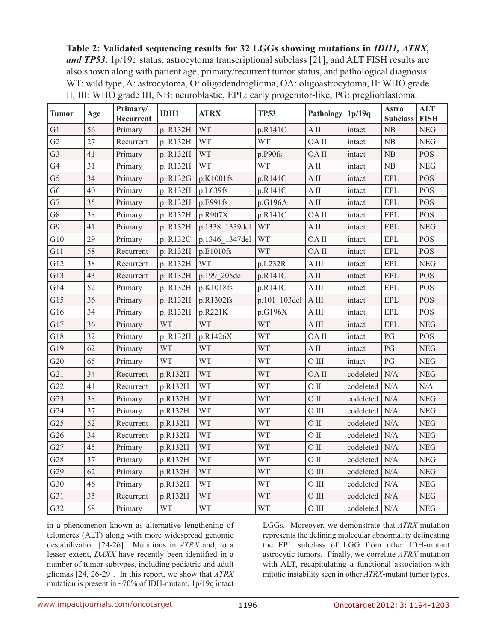**Table 2: Validated sequencing results for 32 LGGs showing mutations in** *IDH1, ATRX, and TP53***.** 1p/19q status, astrocytoma transcriptional subclass [21], and ALT FISH results are also shown along with patient age, primary/recurrent tumor status, and pathological diagnosis. WT: wild type, A: astrocytoma, O: oligodendroglioma, OA: oligoastrocytoma, II: WHO grade II, III: WHO grade III, NB: neuroblastic, EPL: early progenitor-like, PG: preglioblastoma.

| Tumor          | Age | Primary/<br>Recurrent | IDH1      | <b>ATRX</b>    | <b>TP53</b>  | Pathology                  | 1p/19q          | <b>Astro</b><br><b>Subclass</b> | <b>ALT</b><br><b>FISH</b> |
|----------------|-----|-----------------------|-----------|----------------|--------------|----------------------------|-----------------|---------------------------------|---------------------------|
| G1             | 56  | Primary               | p. R132H  | <b>WT</b>      | p.R141C      | A II                       | intact          | NB                              | <b>NEG</b>                |
| G2             | 27  | Recurrent             | p. R132H  | <b>WT</b>      | <b>WT</b>    | OA II                      | intact          | ${\rm NB}$                      | ${\rm NEG}$               |
| G <sub>3</sub> | 41  | Primary               | p. R132H  | <b>WT</b>      | p.P90fs      | $\rm OA\,II$               | intact          | NB                              | <b>POS</b>                |
| G4             | 31  | Primary               | p. R132H  | <b>WT</b>      | <b>WT</b>    | A II                       | intact          | ${\rm NB}$                      | <b>NEG</b>                |
| G <sub>5</sub> | 34  | Primary               | p. R132G  | p.K1001fs      | p.R141C      | $A$ II                     | intact          | EPL                             | <b>POS</b>                |
| G <sub>6</sub> | 40  | Primary               | p. R132H  | p.L639fs       | p.R141C      | $A$ II                     | intact          | EPL                             | POS                       |
| G7             | 35  | Primary               | p. R132H  | p.E991fs       | p.G196A      | $A$ II                     | intact          | <b>EPL</b>                      | <b>POS</b>                |
| G8             | 38  | Primary               | p. R132H  | p.R907X        | p.R141C      | OA II                      | intact          | <b>EPL</b>                      | <b>POS</b>                |
| G <sub>9</sub> | 41  | Primary               | p. R132H  | p.1338_1339del | <b>WT</b>    | A II                       | intact          | EPL                             | <b>NEG</b>                |
| G10            | 29  | Primary               | p. R132C  | p.1346 1347del | <b>WT</b>    | OA II                      | intact          | <b>EPL</b>                      | <b>POS</b>                |
| G11            | 58  | Recurrent             | p. R132H  | p.E1010fs      | <b>WT</b>    | OA II                      | intact          | <b>EPL</b>                      | <b>POS</b>                |
| G12            | 38  | Recurrent             | p. R132H  | <b>WT</b>      | p.L232R      | $\mathbf A$ III            | intact          | EPL                             | <b>NEG</b>                |
| G13            | 43  | Recurrent             | p. R132H  | p.199 205del   | p.R141C      | $\mathbf{A}\, \mathbf{II}$ | intact          | EPL                             | <b>POS</b>                |
| G14            | 52  | Primary               | p. R132H  | p.K1018fs      | p.R141C      | A III                      | intact          | EPL                             | <b>POS</b>                |
| G15            | 36  | Primary               | p. R132H  | p.R1302fs      | p.101 103del | $A$ III                    | intact          | <b>EPL</b>                      | <b>POS</b>                |
| G16            | 34  | Primary               | p. R132H  | p.R221K        | p.G196X      | $A$ III                    | intact          | <b>EPL</b>                      | POS                       |
| G17            | 36  | Primary               | <b>WT</b> | <b>WT</b>      | <b>WT</b>    | $A$ III                    | intact          | EPL                             | <b>NEG</b>                |
| G18            | 32  | Primary               | p. R132H  | p.R1426X       | <b>WT</b>    | OA II                      | intact          | PG                              | <b>POS</b>                |
| G19            | 62  | Primary               | <b>WT</b> | <b>WT</b>      | <b>WT</b>    | $A$ II                     | intact          | PG                              | <b>NEG</b>                |
| G20            | 65  | Primary               | <b>WT</b> | <b>WT</b>      | <b>WT</b>    | $0$ III                    | intact          | PG                              | <b>NEG</b>                |
| G21            | 34  | Recurrent             | p.R132H   | <b>WT</b>      | <b>WT</b>    | OA II                      | codeleted       | N/A                             | <b>NEG</b>                |
| G22            | 41  | Recurrent             | p.R132H   | <b>WT</b>      | <b>WT</b>    | O II                       | codeleted       | N/A                             | N/A                       |
| G23            | 38  | Primary               | p.R132H   | <b>WT</b>      | <b>WT</b>    | $O$ II                     | codeleted       | N/A                             | ${\rm NEG}$               |
| G24            | 37  | Primary               | p.R132H   | WT             | <b>WT</b>    | O III                      | codeleted       | N/A                             | ${\rm NEG}$               |
| G25            | 52  | Recurrent             | p.R132H   | <b>WT</b>      | <b>WT</b>    | $\rm O~II$                 | codeleted       | N/A                             | ${\rm NEG}$               |
| G26            | 34  | Recurrent             | p.R132H   | <b>WT</b>      | <b>WT</b>    | O II                       | codeleted       | N/A                             | <b>NEG</b>                |
| G27            | 45  | Primary               | p.R132H   | <b>WT</b>      | <b>WT</b>    | O II                       | codeleted       | N/A                             | <b>NEG</b>                |
| G28            | 37  | Primary               | p.R132H   | <b>WT</b>      | <b>WT</b>    | $O$ II                     | codeleted       | N/A                             | <b>NEG</b>                |
| G29            | 62  | Primary               | p.R132H   | <b>WT</b>      | <b>WT</b>    | O III                      | codeleted       | N/A                             | ${\rm NEG}$               |
| G30            | 46  | Primary               | p.R132H   | <b>WT</b>      | <b>WT</b>    | $0$ III                    | codeleted       | N/A                             | ${\rm NEG}$               |
| G31            | 35  | Recurrent             | p.R132H   | <b>WT</b>      | <b>WT</b>    | $O$ III                    | codeleted       | N/A                             | <b>NEG</b>                |
| G32            | 58  | Primary               | <b>WT</b> | <b>WT</b>      | <b>WT</b>    | O III                      | codeleted   N/A |                                 | ${\rm NEG}$               |

in a phenomenon known as alternative lengthening of telomeres (ALT) along with more widespread genomic destabilization [24-26]. Mutations in *ATRX* and, to a lesser extent, *DAXX* have recently been identified in a number of tumor subtypes, including pediatric and adult gliomas [24, 26-29]. In this report, we show that *ATRX* mutation is present in ~70% of IDH-mutant, 1p/19q intact

LGGs. Moreover, we demonstrate that *ATRX* mutation represents the defining molecular abnormality delineating the EPL subclass of LGG from other IDH-mutant astrocytic tumors. Finally, we correlate *ATRX* mutation with ALT, recapitulating a functional association with mitotic instability seen in other *ATRX*-mutant tumor types.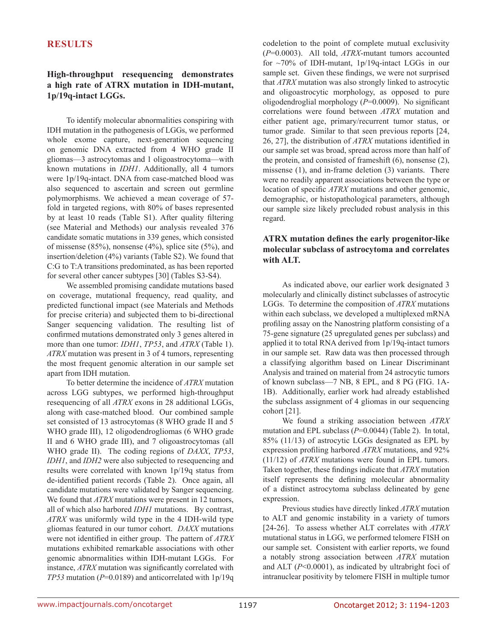# **RESULTS**

# **High-throughput resequencing demonstrates a high rate of ATRX mutation in IDH-mutant, 1p/19q-intact LGGs.**

To identify molecular abnormalities conspiring with IDH mutation in the pathogenesis of LGGs, we performed whole exome capture, next-generation sequencing on genomic DNA extracted from 4 WHO grade II gliomas—3 astrocytomas and 1 oligoastrocytoma—with known mutations in *IDH1*. Additionally, all 4 tumors were 1p/19q-intact. DNA from case-matched blood was also sequenced to ascertain and screen out germline polymorphisms. We achieved a mean coverage of 57 fold in targeted regions, with 80% of bases represented by at least 10 reads (Table S1). After quality filtering (see Material and Methods) our analysis revealed 376 candidate somatic mutations in 339 genes, which consisted of missense  $(85\%)$ , nonsense  $(4\%)$ , splice site  $(5\%)$ , and insertion/deletion (4%) variants (Table S2). We found that C:G to T:A transitions predominated, as has been reported for several other cancer subtypes [30] (Tables S3-S4).

We assembled promising candidate mutations based on coverage, mutational frequency, read quality, and predicted functional impact (see Materials and Methods for precise criteria) and subjected them to bi-directional Sanger sequencing validation. The resulting list of confirmed mutations demonstrated only 3 genes altered in more than one tumor: *IDH1*, *TP53*, and *ATRX* (Table 1). *ATRX* mutation was present in 3 of 4 tumors, representing the most frequent genomic alteration in our sample set apart from IDH mutation.

To better determine the incidence of *ATRX* mutation across LGG subtypes, we performed high-throughput resequencing of all *ATRX* exons in 28 additional LGGs, along with case-matched blood. Our combined sample set consisted of 13 astrocytomas (8 WHO grade II and 5 WHO grade III), 12 oligodendrogliomas (6 WHO grade II and 6 WHO grade III), and 7 oligoastrocytomas (all WHO grade II). The coding regions of *DAXX*, *TP53*, *IDH1*, and *IDH2* were also subjected to resequencing and results were correlated with known 1p/19q status from de-identified patient records (Table 2). Once again, all candidate mutations were validated by Sanger sequencing. We found that *ATRX* mutations were present in 12 tumors, all of which also harbored *IDH1* mutations. By contrast, *ATRX* was uniformly wild type in the 4 IDH-wild type gliomas featured in our tumor cohort. *DAXX* mutations were not identified in either group. The pattern of *ATRX* mutations exhibited remarkable associations with other genomic abnormalities within IDH-mutant LGGs. For instance, *ATRX* mutation was significantly correlated with *TP53* mutation (*P*=0.0189) and anticorrelated with 1p/19q codeletion to the point of complete mutual exclusivity (*P*=0.0003). All told, *ATRX*-mutant tumors accounted for ~70% of IDH-mutant, 1p/19q-intact LGGs in our sample set. Given these findings, we were not surprised that *ATRX* mutation was also strongly linked to astrocytic and oligoastrocytic morphology, as opposed to pure oligodendroglial morphology (*P*=0.0009). No significant correlations were found between *ATRX* mutation and either patient age, primary/recurrent tumor status, or tumor grade. Similar to that seen previous reports [24, 26, 27], the distribution of *ATRX* mutations identified in our sample set was broad, spread across more than half of the protein, and consisted of frameshift (6), nonsense (2), missense (1), and in-frame deletion (3) variants. There were no readily apparent associations between the type or location of specific *ATRX* mutations and other genomic, demographic, or histopathological parameters, although our sample size likely precluded robust analysis in this regard.

# **ATRX mutation defines the early progenitor-like molecular subclass of astrocytoma and correlates with ALT.**

As indicated above, our earlier work designated 3 molecularly and clinically distinct subclasses of astrocytic LGGs. To determine the composition of *ATRX* mutations within each subclass, we developed a multiplexed mRNA profiling assay on the Nanostring platform consisting of a 75-gene signature (25 upregulated genes per subclass) and applied it to total RNA derived from 1p/19q-intact tumors in our sample set. Raw data was then processed through a classifying algorithm based on Linear Discriminant Analysis and trained on material from 24 astrocytic tumors of known subclass—7 NB, 8 EPL, and 8 PG (FIG. 1A-1B). Additionally, earlier work had already established the subclass assignment of 4 gliomas in our sequencing cohort [21].

We found a striking association between *ATRX* mutation and EPL subclass ( $P=0.0044$ ) (Table 2). In total, 85% (11/13) of astrocytic LGGs designated as EPL by expression profiling harbored *ATRX* mutations, and 92% (11/12) of *ATRX* mutations were found in EPL tumors. Taken together, these findings indicate that *ATRX* mutation itself represents the defining molecular abnormality of a distinct astrocytoma subclass delineated by gene expression.

Previous studies have directly linked *ATRX* mutation to ALT and genomic instability in a variety of tumors [24-26]. To assess whether ALT correlates with *ATRX* mutational status in LGG, we performed telomere FISH on our sample set. Consistent with earlier reports, we found a notably strong association between *ATRX* mutation and ALT (*P*<0.0001), as indicated by ultrabright foci of intranuclear positivity by telomere FISH in multiple tumor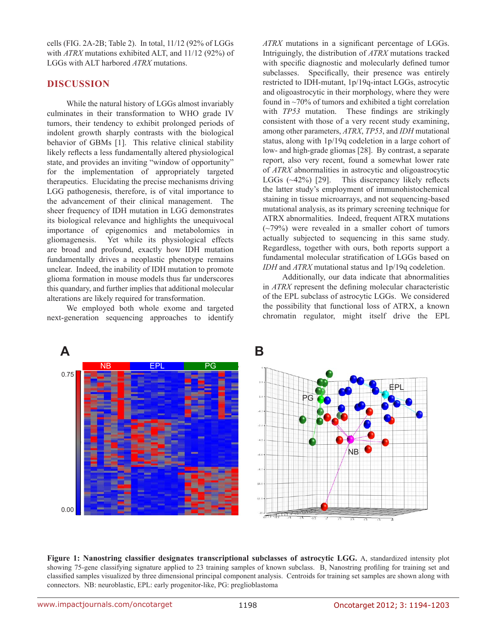cells (FIG. 2A-2B; Table 2). In total, 11/12 (92% of LGGs with *ATRX* mutations exhibited ALT, and 11/12 (92%) of LGGs with ALT harbored *ATRX* mutations.

# **DISCUSSION**

While the natural history of LGGs almost invariably culminates in their transformation to WHO grade IV tumors, their tendency to exhibit prolonged periods of indolent growth sharply contrasts with the biological behavior of GBMs [1]. This relative clinical stability likely reflects a less fundamentally altered physiological state, and provides an inviting "window of opportunity" for the implementation of appropriately targeted therapeutics. Elucidating the precise mechanisms driving LGG pathogenesis, therefore, is of vital importance to the advancement of their clinical management. The sheer frequency of IDH mutation in LGG demonstrates its biological relevance and highlights the unequivocal importance of epigenomics and metabolomics in gliomagenesis. Yet while its physiological effects are broad and profound, exactly how IDH mutation fundamentally drives a neoplastic phenotype remains unclear. Indeed, the inability of IDH mutation to promote glioma formation in mouse models thus far underscores this quandary, and further implies that additional molecular alterations are likely required for transformation.

We employed both whole exome and targeted next-generation sequencing approaches to identify

*ATRX* mutations in a significant percentage of LGGs. Intriguingly, the distribution of *ATRX* mutations tracked with specific diagnostic and molecularly defined tumor subclasses. Specifically, their presence was entirely restricted to IDH-mutant, 1p/19q-intact LGGs, astrocytic and oligoastrocytic in their morphology, where they were found in ~70% of tumors and exhibited a tight correlation with *TP53* mutation. These findings are strikingly consistent with those of a very recent study examining, among other parameters, *ATRX*, *TP53*, and *IDH* mutational status, along with 1p/19q codeletion in a large cohort of low- and high-grade gliomas [28]. By contrast, a separate report, also very recent, found a somewhat lower rate of *ATRX* abnormalities in astrocytic and oligoastrocytic LGGs (~42%) [29]. This discrepancy likely reflects the latter study's employment of immunohistochemical staining in tissue microarrays, and not sequencing-based mutational analysis, as its primary screening technique for ATRX abnormalities. Indeed, frequent ATRX mutations (~79%) were revealed in a smaller cohort of tumors actually subjected to sequencing in this same study. Regardless, together with ours, both reports support a fundamental molecular stratification of LGGs based on *IDH* and *ATRX* mutational status and 1p/19q codeletion.

Additionally, our data indicate that abnormalities in *ATRX* represent the defining molecular characteristic of the EPL subclass of astrocytic LGGs. We considered the possibility that functional loss of ATRX, a known chromatin regulator, might itself drive the EPL



**Figure 1: Nanostring classifier designates transcriptional subclasses of astrocytic LGG.** A, standardized intensity plot showing 75-gene classifying signature applied to 23 training samples of known subclass. B, Nanostring profiling for training set and classified samples visualized by three dimensional principal component analysis. Centroids for training set samples are shown along with connectors. NB: neuroblastic, EPL: early progenitor-like, PG: preglioblastoma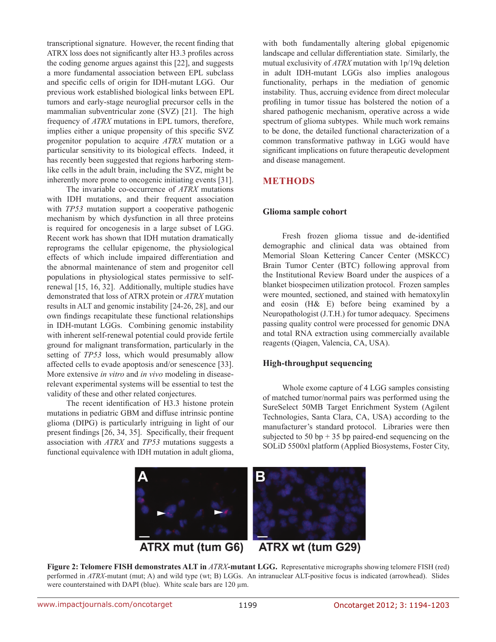transcriptional signature. However, the recent finding that ATRX loss does not significantly alter H3.3 profiles across the coding genome argues against this [22], and suggests a more fundamental association between EPL subclass and specific cells of origin for IDH-mutant LGG. Our previous work established biological links between EPL tumors and early-stage neuroglial precursor cells in the mammalian subventricular zone (SVZ) [21]. The high frequency of *ATRX* mutations in EPL tumors, therefore, implies either a unique propensity of this specific SVZ progenitor population to acquire *ATRX* mutation or a particular sensitivity to its biological effects. Indeed, it has recently been suggested that regions harboring stemlike cells in the adult brain, including the SVZ, might be inherently more prone to oncogenic initiating events [31].

The invariable co-occurrence of *ATRX* mutations with IDH mutations, and their frequent association with *TP53* mutation support a cooperative pathogenic mechanism by which dysfunction in all three proteins is required for oncogenesis in a large subset of LGG. Recent work has shown that IDH mutation dramatically reprograms the cellular epigenome, the physiological effects of which include impaired differentiation and the abnormal maintenance of stem and progenitor cell populations in physiological states permissive to selfrenewal [15, 16, 32]. Additionally, multiple studies have demonstrated that loss of ATRX protein or *ATRX* mutation results in ALT and genomic instability [24-26, 28], and our own findings recapitulate these functional relationships in IDH-mutant LGGs. Combining genomic instability with inherent self-renewal potential could provide fertile ground for malignant transformation, particularly in the setting of *TP53* loss, which would presumably allow affected cells to evade apoptosis and/or senescence [33]. More extensive *in vitro* and *in vivo* modeling in diseaserelevant experimental systems will be essential to test the validity of these and other related conjectures.

The recent identification of H3.3 histone protein mutations in pediatric GBM and diffuse intrinsic pontine glioma (DIPG) is particularly intriguing in light of our present findings [26, 34, 35]. Specifically, their frequent association with *ATRX* and *TP53* mutations suggests a functional equivalence with IDH mutation in adult glioma,

with both fundamentally altering global epigenomic landscape and cellular differentiation state. Similarly, the mutual exclusivity of *ATRX* mutation with 1p/19q deletion in adult IDH-mutant LGGs also implies analogous functionality, perhaps in the mediation of genomic instability. Thus, accruing evidence from direct molecular profiling in tumor tissue has bolstered the notion of a shared pathogenic mechanism, operative across a wide spectrum of glioma subtypes. While much work remains to be done, the detailed functional characterization of a common transformative pathway in LGG would have significant implications on future therapeutic development and disease management.

### **METHODS**

#### **Glioma sample cohort**

Fresh frozen glioma tissue and de-identified demographic and clinical data was obtained from Memorial Sloan Kettering Cancer Center (MSKCC) Brain Tumor Center (BTC) following approval from the Institutional Review Board under the auspices of a blanket biospecimen utilization protocol. Frozen samples were mounted, sectioned, and stained with hematoxylin and eosin (H& E) before being examined by a Neuropathologist (J.T.H.) for tumor adequacy. Specimens passing quality control were processed for genomic DNA and total RNA extraction using commercially available reagents (Qiagen, Valencia, CA, USA).

#### **High-throughput sequencing**

Whole exome capture of 4 LGG samples consisting of matched tumor/normal pairs was performed using the SureSelect 50MB Target Enrichment System (Agilent Technologies, Santa Clara, CA, USA) according to the manufacturer's standard protocol. Libraries were then subjected to 50 bp  $+$  35 bp paired-end sequencing on the SOLiD 5500xl platform (Applied Biosystems, Foster City,



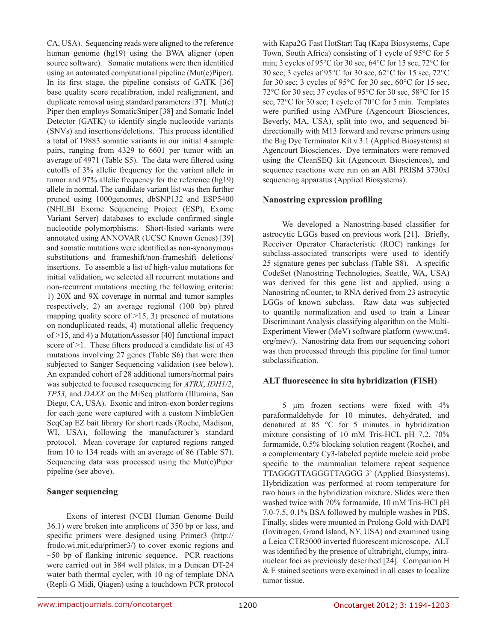CA, USA). Sequencing reads were aligned to the reference human genome (hg19) using the BWA aligner (open source software). Somatic mutations were then identified using an automated computational pipeline (Mut(e)Piper). In its first stage, the pipeline consists of GATK [36] base quality score recalibration, indel realignment, and duplicate removal using standard parameters [37]. Mut(e) Piper then employs SomaticSniper [38] and Somatic Indel Detector (GATK) to identify single nucleotide variants (SNVs) and insertions/deletions. This process identified a total of 19883 somatic variants in our initial 4 sample pairs, ranging from 4329 to 6601 per tumor with an average of 4971 (Table S5). The data were filtered using cutoffs of 3% allelic frequency for the variant allele in tumor and 97% allelic frequency for the reference (hg19) allele in normal. The candidate variant list was then further pruned using 1000genomes, dbSNP132 and ESP5400 (NHLBI Exome Sequencing Project (ESP), Exome Variant Server) databases to exclude confirmed single nucleotide polymorphisms. Short-listed variants were annotated using ANNOVAR (UCSC Known Genes) [39] and somatic mutations were identified as non-synonymous substitutions and frameshift/non-frameshift deletions/ insertions. To assemble a list of high-value mutations for initial validation, we selected all recurrent mutations and non-recurrent mutations meeting the following criteria: 1) 20X and 9X coverage in normal and tumor samples respectively, 2) an average regional (100 bp) phred mapping quality score of  $>15$ , 3) presence of mutations on nonduplicated reads, 4) mutational allelic frequency of >15, and 4) a MutationAssessor [40] functional impact score of  $>1$ . These filters produced a candidate list of 43 mutations involving 27 genes (Table S6) that were then subjected to Sanger Sequencing validation (see below). An expanded cohort of 28 additional tumors/normal pairs was subjected to focused resequencing for *ATRX*, *IDH1/2*, *TP53*, and *DAXX* on the MiSeq platform (Illumina, San Diego, CA, USA). Exonic and intron-exon border regions for each gene were captured with a custom NimbleGen SeqCap EZ bait library for short reads (Roche, Madison, WI, USA), following the manufacturer's standard protocol. Mean coverage for captured regions ranged from 10 to 134 reads with an average of 86 (Table S7). Sequencing data was processed using the Mut(e)Piper pipeline (see above).

### **Sanger sequencing**

Exons of interest (NCBI Human Genome Build 36.1) were broken into amplicons of 350 bp or less, and specific primers were designed using Primer3 (http:// frodo.wi.mit.edu/primer3/) to cover exonic regions and  $~50$  bp of flanking intronic sequence. PCR reactions were carried out in 384 well plates, in a Duncan DT-24 water bath thermal cycler, with 10 ng of template DNA (Repli-G Midi, Qiagen) using a touchdown PCR protocol with Kapa2G Fast HotStart Taq (Kapa Biosystems, Cape Town, South Africa) consisting of 1 cycle of 95°C for 5 min; 3 cycles of 95°C for 30 sec, 64°C for 15 sec, 72°C for 30 sec; 3 cycles of 95°C for 30 sec, 62°C for 15 sec, 72°C for 30 sec; 3 cycles of 95°C for 30 sec, 60°C for 15 sec, 72°C for 30 sec; 37 cycles of 95°C for 30 sec, 58°C for 15 sec, 72°C for 30 sec; 1 cycle of 70°C for 5 min. Templates were purified using AMPure (Agencourt Biosciences, Beverly, MA, USA), split into two, and sequenced bidirectionally with M13 forward and reverse primers using the Big Dye Terminator Kit v.3.1 (Applied Biosystems) at Agencourt Biosciences. Dye terminators were removed using the CleanSEQ kit (Agencourt Biosciences), and sequence reactions were run on an ABI PRISM 3730xl sequencing apparatus (Applied Biosystems).

# **Nanostring expression profiling**

We developed a Nanostring-based classifier for astrocytic LGGs based on previous work [21]. Briefly, Receiver Operator Characteristic (ROC) rankings for subclass-associated transcripts were used to identify 25 signature genes per subclass (Table S8). A specific CodeSet (Nanostring Technologies, Seattle, WA, USA) was derived for this gene list and applied, using a Nanostring nCounter, to RNA derived from 23 astrocytic LGGs of known subclass. Raw data was subjected to quantile normalization and used to train a Linear Discriminant Analysis classifying algorithm on the Multi-Experiment Viewer (MeV) software platform (www.tm4. org/mev/). Nanostring data from our sequencing cohort was then processed through this pipeline for final tumor subclassification.

# **ALT fluorescence in situ hybridization (FISH)**

5 µm frozen sections were fixed with 4% paraformaldehyde for 10 minutes, dehydrated, and denatured at 85 °C for 5 minutes in hybridization mixture consisting of 10 mM Tris-HCL pH 7.2, 70% formamide, 0.5% blocking solution reagent (Roche), and a complementary Cy3-labeled peptide nucleic acid probe specific to the mammalian telomere repeat sequence TTAGGGTTAGGGTTAGGG 3' (Applied Biosystems). Hybridization was performed at room temperature for two hours in the hybridization mixture. Slides were then washed twice with 70% formamide, 10 mM Tris-HCl pH 7.0-7.5, 0.1% BSA followed by multiple washes in PBS. Finally, slides were mounted in Prolong Gold with DAPI (Invitrogen, Grand Island, NY, USA) and examined using a Leica CTR5000 inverted fluorescent microscope. ALT was identified by the presence of ultrabright, clumpy, intranuclear foci as previously described [24]. Companion H & E stained sections were examined in all cases to localize tumor tissue.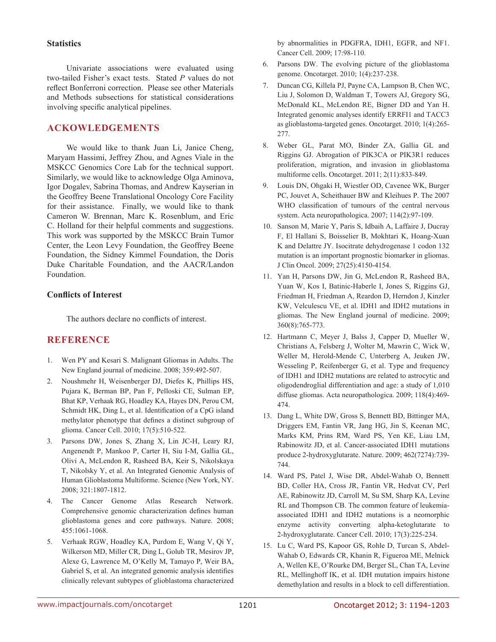#### **Statistics**

Univariate associations were evaluated using two-tailed Fisher's exact tests. Stated *P* values do not reflect Bonferroni correction. Please see other Materials and Methods subsections for statistical considerations involving specific analytical pipelines.

# **ACKOWLEDGEMENTS**

We would like to thank Juan Li, Janice Cheng, Maryam Hassimi, Jeffrey Zhou, and Agnes Viale in the MSKCC Genomics Core Lab for the technical support. Similarly, we would like to acknowledge Olga Aminova, Igor Dogalev, Sabrina Thomas, and Andrew Kayserian in the Geoffrey Beene Translational Oncology Core Facility for their assistance. Finally, we would like to thank Cameron W. Brennan, Marc K. Rosenblum, and Eric C. Holland for their helpful comments and suggestions. This work was supported by the MSKCC Brain Tumor Center, the Leon Levy Foundation, the Geoffrey Beene Foundation, the Sidney Kimmel Foundation, the Doris Duke Charitable Foundation, and the AACR/Landon Foundation.

### **Conflicts of Interest**

The authors declare no conflicts of interest.

# **REFERENCE**

- 1. Wen PY and Kesari S. Malignant Gliomas in Adults. The New England journal of medicine. 2008; 359:492-507.
- 2. Noushmehr H, Weisenberger DJ, Diefes K, Phillips HS, Pujara K, Berman BP, Pan F, Pelloski CE, Sulman EP, Bhat KP, Verhaak RG, Hoadley KA, Hayes DN, Perou CM, Schmidt HK, Ding L, et al. Identification of a CpG island methylator phenotype that defines a distinct subgroup of glioma. Cancer Cell. 2010; 17(5):510-522.
- 3. Parsons DW, Jones S, Zhang X, Lin JC-H, Leary RJ, Angenendt P, Mankoo P, Carter H, Siu I-M, Gallia GL, Olivi A, McLendon R, Rasheed BA, Keir S, Nikolskaya T, Nikolsky Y, et al. An Integrated Genomic Analysis of Human Glioblastoma Multiforme. Science (New York, NY. 2008; 321:1807-1812.
- 4. The Cancer Genome Atlas Research Network. Comprehensive genomic characterization defines human glioblastoma genes and core pathways. Nature. 2008; 455:1061-1068.
- 5. Verhaak RGW, Hoadley KA, Purdom E, Wang V, Qi Y, Wilkerson MD, Miller CR, Ding L, Golub TR, Mesirov JP, Alexe G, Lawrence M, O'Kelly M, Tamayo P, Weir BA, Gabriel S, et al. An integrated genomic analysis identifies clinically relevant subtypes of glioblastoma characterized

by abnormalities in PDGFRA, IDH1, EGFR, and NF1. Cancer Cell. 2009; 17:98-110.

- 6. Parsons DW. The evolving picture of the glioblastoma genome. Oncotarget. 2010; 1(4):237-238.
- 7. Duncan CG, Killela PJ, Payne CA, Lampson B, Chen WC, Liu J, Solomon D, Waldman T, Towers AJ, Gregory SG, McDonald KL, McLendon RE, Bigner DD and Yan H. Integrated genomic analyses identify ERRFI1 and TACC3 as glioblastoma-targeted genes. Oncotarget. 2010; 1(4):265- 277.
- 8. Weber GL, Parat MO, Binder ZA, Gallia GL and Riggins GJ. Abrogation of PIK3CA or PIK3R1 reduces proliferation, migration, and invasion in glioblastoma multiforme cells. Oncotarget. 2011; 2(11):833-849.
- 9. Louis DN, Ohgaki H, Wiestler OD, Cavenee WK, Burger PC, Jouvet A, Scheithauer BW and Kleihues P. The 2007 WHO classification of tumours of the central nervous system. Acta neuropathologica. 2007; 114(2):97-109.
- 10. Sanson M, Marie Y, Paris S, Idbaih A, Laffaire J, Ducray F, El Hallani S, Boisselier B, Mokhtari K, Hoang-Xuan K and Delattre JY. Isocitrate dehydrogenase 1 codon 132 mutation is an important prognostic biomarker in gliomas. J Clin Oncol. 2009; 27(25):4150-4154.
- 11. Yan H, Parsons DW, Jin G, McLendon R, Rasheed BA, Yuan W, Kos I, Batinic-Haberle I, Jones S, Riggins GJ, Friedman H, Friedman A, Reardon D, Herndon J, Kinzler KW, Velculescu VE, et al. IDH1 and IDH2 mutations in gliomas. The New England journal of medicine. 2009; 360(8):765-773.
- 12. Hartmann C, Meyer J, Balss J, Capper D, Mueller W, Christians A, Felsberg J, Wolter M, Mawrin C, Wick W, Weller M, Herold-Mende C, Unterberg A, Jeuken JW, Wesseling P, Reifenberger G, et al. Type and frequency of IDH1 and IDH2 mutations are related to astrocytic and oligodendroglial differentiation and age: a study of 1,010 diffuse gliomas. Acta neuropathologica. 2009; 118(4):469- 474.
- 13. Dang L, White DW, Gross S, Bennett BD, Bittinger MA, Driggers EM, Fantin VR, Jang HG, Jin S, Keenan MC, Marks KM, Prins RM, Ward PS, Yen KE, Liau LM, Rabinowitz JD, et al. Cancer-associated IDH1 mutations produce 2-hydroxyglutarate. Nature. 2009; 462(7274):739- 744.
- 14. Ward PS, Patel J, Wise DR, Abdel-Wahab O, Bennett BD, Coller HA, Cross JR, Fantin VR, Hedvat CV, Perl AE, Rabinowitz JD, Carroll M, Su SM, Sharp KA, Levine RL and Thompson CB. The common feature of leukemiaassociated IDH1 and IDH2 mutations is a neomorphic enzyme activity converting alpha-ketoglutarate to 2-hydroxyglutarate. Cancer Cell. 2010; 17(3):225-234.
- 15. Lu C, Ward PS, Kapoor GS, Rohle D, Turcan S, Abdel-Wahab O, Edwards CR, Khanin R, Figueroa ME, Melnick A, Wellen KE, O'Rourke DM, Berger SL, Chan TA, Levine RL, Mellinghoff IK, et al. IDH mutation impairs histone demethylation and results in a block to cell differentiation.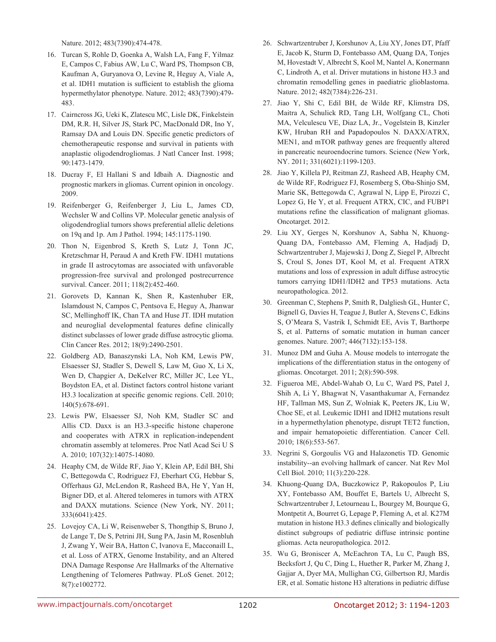Nature. 2012; 483(7390):474-478.

- 16. Turcan S, Rohle D, Goenka A, Walsh LA, Fang F, Yilmaz E, Campos C, Fabius AW, Lu C, Ward PS, Thompson CB, Kaufman A, Guryanova O, Levine R, Heguy A, Viale A, et al. IDH1 mutation is sufficient to establish the glioma hypermethylator phenotype. Nature. 2012; 483(7390):479- 483.
- 17. Cairncross JG, Ueki K, Zlatescu MC, Lisle DK, Finkelstein DM, R.R. H, Silver JS, Stark PC, MacDonald DR, Ino Y, Ramsay DA and Louis DN. Specific genetic predictors of chemotherapeutic response and survival in patients with anaplastic oligodendrogliomas. J Natl Cancer Inst. 1998; 90:1473-1479.
- 18. Ducray F, El Hallani S and Idbaih A. Diagnostic and prognostic markers in gliomas. Current opinion in oncology. 2009.
- 19. Reifenberger G, Reifenberger J, Liu L, James CD, Wechsler W and Collins VP. Molecular genetic analysis of oligodendroglial tumors shows preferential allelic deletions on 19q and 1p. Am J Pathol. 1994; 145:1175-1190.
- 20. Thon N, Eigenbrod S, Kreth S, Lutz J, Tonn JC, Kretzschmar H, Peraud A and Kreth FW. IDH1 mutations in grade II astrocytomas are associated with unfavorable progression-free survival and prolonged postrecurrence survival. Cancer. 2011; 118(2):452-460.
- 21. Gorovets D, Kannan K, Shen R, Kastenhuber ER, Islamdoust N, Campos C, Pentsova E, Heguy A, Jhanwar SC, Mellinghoff IK, Chan TA and Huse JT. IDH mutation and neuroglial developmental features define clinically distinct subclasses of lower grade diffuse astrocytic glioma. Clin Cancer Res. 2012; 18(9):2490-2501.
- 22. Goldberg AD, Banaszynski LA, Noh KM, Lewis PW, Elsaesser SJ, Stadler S, Dewell S, Law M, Guo X, Li X, Wen D, Chapgier A, DeKelver RC, Miller JC, Lee YL, Boydston EA, et al. Distinct factors control histone variant H3.3 localization at specific genomic regions. Cell. 2010; 140(5):678-691.
- 23. Lewis PW, Elsaesser SJ, Noh KM, Stadler SC and Allis CD. Daxx is an H3.3-specific histone chaperone and cooperates with ATRX in replication-independent chromatin assembly at telomeres. Proc Natl Acad Sci U S A. 2010; 107(32):14075-14080.
- 24. Heaphy CM, de Wilde RF, Jiao Y, Klein AP, Edil BH, Shi C, Bettegowda C, Rodriguez FJ, Eberhart CG, Hebbar S, Offerhaus GJ, McLendon R, Rasheed BA, He Y, Yan H, Bigner DD, et al. Altered telomeres in tumors with ATRX and DAXX mutations. Science (New York, NY. 2011; 333(6041):425.
- 25. Lovejoy CA, Li W, Reisenweber S, Thongthip S, Bruno J, de Lange T, De S, Petrini JH, Sung PA, Jasin M, Rosenbluh J, Zwang Y, Weir BA, Hatton C, Ivanova E, Macconaill L, et al. Loss of ATRX, Genome Instability, and an Altered DNA Damage Response Are Hallmarks of the Alternative Lengthening of Telomeres Pathway. PLoS Genet. 2012; 8(7):e1002772.
- 26. Schwartzentruber J, Korshunov A, Liu XY, Jones DT, Pfaff E, Jacob K, Sturm D, Fontebasso AM, Quang DA, Tonjes M, Hovestadt V, Albrecht S, Kool M, Nantel A, Konermann C, Lindroth A, et al. Driver mutations in histone H3.3 and chromatin remodelling genes in paediatric glioblastoma. Nature. 2012; 482(7384):226-231.
- 27. Jiao Y, Shi C, Edil BH, de Wilde RF, Klimstra DS, Maitra A, Schulick RD, Tang LH, Wolfgang CL, Choti MA, Velculescu VE, Diaz LA, Jr., Vogelstein B, Kinzler KW, Hruban RH and Papadopoulos N. DAXX/ATRX, MEN1, and mTOR pathway genes are frequently altered in pancreatic neuroendocrine tumors. Science (New York, NY. 2011; 331(6021):1199-1203.
- 28. Jiao Y, Killela PJ, Reitman ZJ, Rasheed AB, Heaphy CM, de Wilde RF, Rodriguez FJ, Rosemberg S, Oba-Shinjo SM, Marie SK, Bettegowda C, Agrawal N, Lipp E, Pirozzi C, Lopez G, He Y, et al. Frequent ATRX, CIC, and FUBP1 mutations refine the classification of malignant gliomas. Oncotarget. 2012.
- 29. Liu XY, Gerges N, Korshunov A, Sabha N, Khuong-Quang DA, Fontebasso AM, Fleming A, Hadjadj D, Schwartzentruber J, Majewski J, Dong Z, Siegel P, Albrecht S, Croul S, Jones DT, Kool M, et al. Frequent ATRX mutations and loss of expression in adult diffuse astrocytic tumors carrying IDH1/IDH2 and TP53 mutations. Acta neuropathologica. 2012.
- 30. Greenman C, Stephens P, Smith R, Dalgliesh GL, Hunter C, Bignell G, Davies H, Teague J, Butler A, Stevens C, Edkins S, O'Meara S, Vastrik I, Schmidt EE, Avis T, Barthorpe S, et al. Patterns of somatic mutation in human cancer genomes. Nature. 2007; 446(7132):153-158.
- 31. Munoz DM and Guha A. Mouse models to interrogate the implications of the differentiation status in the ontogeny of gliomas. Oncotarget. 2011; 2(8):590-598.
- 32. Figueroa ME, Abdel-Wahab O, Lu C, Ward PS, Patel J, Shih A, Li Y, Bhagwat N, Vasanthakumar A, Fernandez HF, Tallman MS, Sun Z, Wolniak K, Peeters JK, Liu W, Choe SE, et al. Leukemic IDH1 and IDH2 mutations result in a hypermethylation phenotype, disrupt TET2 function, and impair hematopoietic differentiation. Cancer Cell. 2010; 18(6):553-567.
- 33. Negrini S, Gorgoulis VG and Halazonetis TD. Genomic instability--an evolving hallmark of cancer. Nat Rev Mol Cell Biol. 2010; 11(3):220-228.
- 34. Khuong-Quang DA, Buczkowicz P, Rakopoulos P, Liu XY, Fontebasso AM, Bouffet E, Bartels U, Albrecht S, Schwartzentruber J, Letourneau L, Bourgey M, Bourque G, Montpetit A, Bourret G, Lepage P, Fleming A, et al. K27M mutation in histone H3.3 defines clinically and biologically distinct subgroups of pediatric diffuse intrinsic pontine gliomas. Acta neuropathologica. 2012.
- 35. Wu G, Broniscer A, McEachron TA, Lu C, Paugh BS, Becksfort J, Qu C, Ding L, Huether R, Parker M, Zhang J, Gajjar A, Dyer MA, Mullighan CG, Gilbertson RJ, Mardis ER, et al. Somatic histone H3 alterations in pediatric diffuse